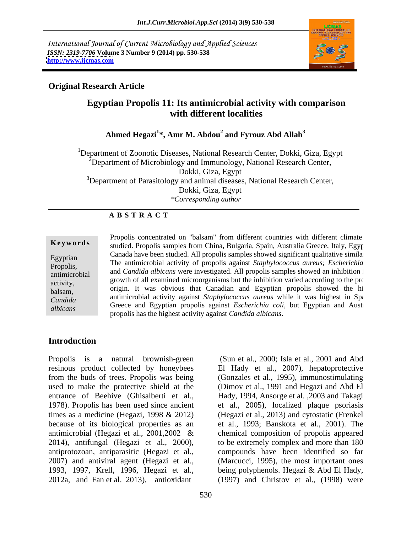International Journal of Current Microbiology and Applied Sciences *ISSN: 2319-7706* **Volume 3 Number 9 (2014) pp. 530-538 <http://www.ijcmas.com>**



### **Original Research Article**

## **Egyptian Propolis 11: Its antimicrobial activity with comparison with different localities**

#### **Ahmed Hegazi<sup>1</sup> \*, Amr M. Abdou<sup>2</sup> and Fyrouz Abd Allah<sup>3</sup>**

<sup>1</sup>Department of Zoonotic Diseases, National Research Center, Dokki, Giza, Egypt  $2^{\circ}$ Department of Microbiology and Immunology, National Research Center, Dokki, Giza, Egypt <sup>3</sup>Department of Parasitology and animal diseases, National Research Center, Dokki, Giza, Egypt *\*Corresponding author* 

#### **A B S T R A C T**

**Keywords** studied. Propolis samples from China, Bulgaria, Spain, Australia Greece, Italy, Egypt Egyptian The antimicrobial activity of propolis against *Staphylococcus aureus; Escherichia coli* Propolis, The antimicropial activity of propolis against *staphylococcus dureus*; *Escherichia*<br>and *Candida albicans* were investigated. All propolis samples showed an inhibition i antimicrobial and canada abolism were investigated. All propolis samples showed an inhibition is<br>activity growth of all examined microorganisms but the inhibition varied according to the pro activity, and the contract increasing the monder of the contract according to the probalsam, origin. It was obvious that Canadian and Egyptian propolis showed the hi *Candida* and annual activity against *suphylococcus auteus* while it was inglest in Spanish Concerned Formula and Concerned Formula and Concerned Formula and Concerned Formula and Concerned Active and Active and Active *Candida* antimicrobial activity against *Staphylococcus aureus* while it was highest in Spanish, Greece and Egyptian propolis against *Escherichia coli*, but Egyptian and Australians Propolis concentrated on "balsam" from different countries with different climate Canada have been studied. All propolis samples showed significant qualitative similar propolis has the highest activity against *Candida albicans*.

### **Introduction**

Propolis is a natural brownish-green (Sun et al., 2000; Isla et al., 2001 and Abd resinous product collected by honeybees El Hady et al., 2007), hepatoprotective from the buds of trees. Propolis was being (Gonzales et al., 1995), immunostimulating used to make the protective shield at the (Dimov et al., 1991 and Hegaziand Abd El entrance of Beehive (Ghisalberti et al., Hady, 1994, Ansorge et al. ,2003 and Takagi 1978). Propolis has been used since ancient et al., 2005), localized plaque psoriasis times as a medicine (Hegazi, 1998 & 2012) (Hegazi et al., 2013) and cytostatic (Frenkel because of its biological properties as an et al., 1993; Banskota et al., 2001). The antimicrobial (Hegazi et al., 2001,2002 & chemical composition of propolis appeared 2014), antifungal (Hegazi et al., 2000), to be extremely complex and more than 180 antiprotozoan, antiparasitic (Hegazi et al., compounds have been identified so far 2007) and antiviral agent (Hegazi et al., (Marcucci, 1995), the most important ones 1993, 1997, Krell, 1996, Hegazi et al., being polyphenols. Hegazi & Abd El Hady,

2012a, and Fan et al. 2013), antioxidant (1997) and Christov et al., (1998) were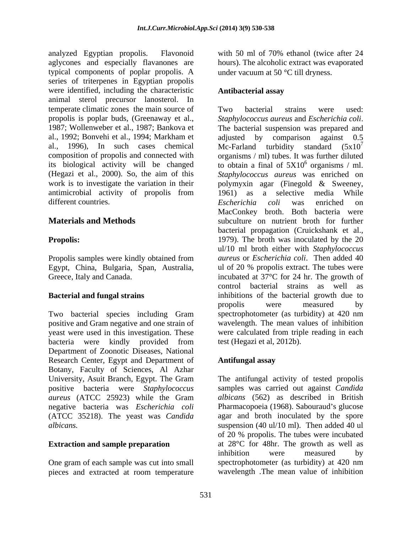analyzed Egyptian propolis. Flavonoid with 50 ml of 70% ethanol (twice after 24 aglycones and especially flavanones are typical components of poplar propolis. A series of triterpenes in Egyptian propolis were identified, including the characteristic **Antibacterial assay** animal sterol precursor lanosterol. In temperate climatic zones the main source of Two bacterial strains were used: propolis is poplar buds, (Greenaway et al., Staphylococcus aureus and Escherichia coli.<br>1987: Wollenweber et al., 1987: Bankova et The bacterial suspension was prepared and al., 1992; Bonvehi et al., 1994; Markham et antimicrobial activity of propolis from different countries. Escherichia coli was enriched on

Propolis samples were kindly obtained from

Two bacterial species including Gram positive and Gram negative and one strain of yeast were used in this investigation. These bacteria were kindly provided from test (Hegazi et al, 2012b). Department of Zoonotic Diseases, National Research Center, Egypt and Department of **Antifungal assay** Botany, Faculty of Sciences, Al Azhar *aureus* (ATCC 25923) while the Gram negative bacteria was *Escherichia coli* (ATCC 35218). The yeast was *Candida* 

One gram of each sample was cut into small pieces and extracted at room temperature

with 50 ml of 70% ethanol (twice after 24 hours). The alcoholic extract was evaporated under vacuum at 50  $\degree$ C till dryness.

#### **Antibacterial assay**

The bacterial suspension was prepared and al., 1996), In such cases chemical Mc-Farland turbidity standard  $(5x10^7)$ composition of propolis and connected with organisms / ml) tubes. It was further diluted its biological activity will be changed to obtain a final of  $5X10^6$  organisms / ml. (Hegazi et al., 2000).So, the aim of this *Staphylococcus aureus* was enriched on work is to investigate the variation in their polymyxin agar (Finegold & Sweeney, **Materials and Methods** subculture on nutrient broth for further **Propolis: Propolis: 1979**). The broth was inoculated by the 20 Egypt, China, Bulgaria, Span, Australia, ul of 20 % propolis extract. The tubes were Greece, Italy and Canada. The strategy incubated at 37<sup>o</sup>C for 24 hr. The growth of **Bacterial and fungal strains inhibitions** of the bacterial growth due to Two bacterial strains were used: *Staphylococcus aureus* and *Escherichia coli*. The bacterial suspension was prepared and adjusted by comparison against 0.5 7  $^6$  organisms / ml organisms / ml. a selective media While *Escherichia coli* was enriched on MacConkey broth. Both bacteria were bacterial propagation (Cruickshank et al., ul/10 ml broth either with *Staphylococcus aureus* or *Escherichia coli*. Then added 40 control bacterial strains as well as propolis were measured by spectrophotometer (as turbidity) at 420 nm wavelength. The mean values of inhibition were calculated from triple reading in each test (Hegazi et al, 2012b).

### **Antifungal assay**

University, Asuit Branch, Egypt. The Gram The antifungal activity of tested propolis positive bacteria were *Staphylococcus*  samples was carried out against *Candida albicans.* suspension (40 ul/10 ml). Then added 40 ul **Extraction and sample preparation** at 28<sup>o</sup>C for 48hr. The growth as well as *albicans* (562) as described in British Pharmacopoeia (1968). Sabouraud's glucose agar and broth inoculated by the spore of 20 % propolis. The tubes were incubated inhibition were measured by spectrophotometer (as turbidity) at 420 nm wavelength .The mean value of inhibition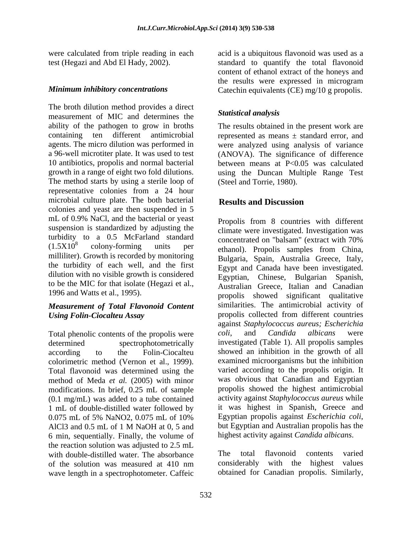The broth dilution method provides a direct<br>measurement of MIC and determines the Statistical analysis measurement of MIC and determines the ability of the pathogen to grow in broths containing ten different antimicrobial represented as means ± standard error, and agents. The micro dilution was performed in were analyzed using analysis of variance a 96-well microtiter plate. It was used to test (ANOVA). The significance of difference 10 antibiotics, propolis and normal bacterial between means at P<0.05 was calculated growth in a range of eight two fold dilutions. using the Duncan Multiple Range Test The method starts by using a sterile loop of representative colonies from a 24 hour microbial culture plate. The both bacterial **Results and Discussion** colonies and yeast are then suspended in 5 mL of 0.9% NaCl, and the bacterial or yeast suspension is standardized by adjusting the turbidity to a 0.5 McFarland standard concentrated on "balsam" (extract with 70%) milliliter). Growth is recorded by monitoring the turbidity of each well, and the first dilution with no visible growth is considered to be the MIC for that isolate (Hegazi et al., 1996 and Watts et al., 1995).

# *Measurement of Total Flavonoid Content*

Total phenolic contents of the propolis were coli, and Candida albicans were colorimetric method (Vernon et al., 1999). Total flavonoid was determined using the method of Meda *et al.* (2005) with minor modifications. In brief, 0.25 mL of sample (0.1 mg/mL) was added to a tube contained 1 mL of double-distilled water followed by it was highest in Spanish, Greece and 0.075 mL of 5% NaNO2, 0.075 mL of 10% Egyptian propolis against *Escherichia coli*, 6 min, sequentially. Finally, the volume of the reaction solution was adjusted to 2.5 mL<br>with double-distilled water. The absorbance The total flavonoid with double-distilled water. The absorbance The total flavonoid contents varied<br>of the solution was measured at 410 nm considerably with the highest values of the solution was measured at 410 nm wave length in a spectrophotometer. Caffeic

were calculated from triple reading in each acid is a ubiquitous flavonoid was used as a test (Hegazi and Abd El Hady, 2002). standard to quantify the total flavonoid *Minimum inhibitory concentrations* Catechin equivalents (CE) mg/10 g propolis. content of ethanol extract of the honeys and the results were expressed in microgram

### *Statistical analysis*

The results obtained in the present work are (Steel and Torrie, 1980).

### **Results and Discussion**

 $(1.5X10<sup>8</sup>$  colony-forming units per ethanol). Propolis samples from China, *Using Folin-Ciocalteu Assay* propolis collected from different countries determined spectrophotometrically investigated (Table 1). All propolis samples according to the Folin-Ciocalteu showed an inhibition in the growth of all 0.075 mL of 5% NaNO2, 0.075 mL of 10% Egyptian propolis against *Escherichia coli*, AlCl3 and 0.5 mL of 1 M NaOH at 0, 5 and but Egyptian and Australian propolis has the Propolis from 8 countries with different climate were investigated. Investigation was concentrated on "balsam" (extract with 70% Bulgaria, Spain, Australia Greece, Italy, Egypt and Canada have been investigated. Egyptian, Chinese, Bulgarian Spanish, Australian Greece, Italian and Canadian propolis showed significant qualitative similarities. The antimicrobial activity of against *Staphylococcus aureus; Escherichia coli*, and *Candida albicans* were examined microorganisms but the inhibition varied according to the propolis origin. It was obvious that Canadian and Egyptian propolis showed the highest antimicrobial activity against *Staphylococcus aureus* while it was highest in Spanish, Greece and Egyptian propolis against *Escherichia coli*, but Egyptian and Australian propolis has the highest activity against *Candida albicans*.

> The total flavonoid contents varied considerably with the highest values obtained for Canadian propolis. Similarly,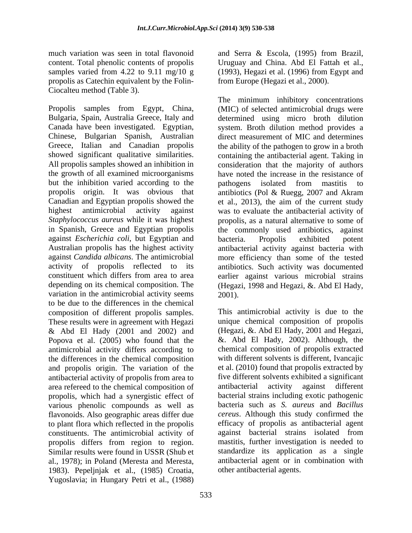propolis as Catechin equivalent by the Folin- Ciocalteu method (Table 3).

but the inhibition varied according to the pathogens isolated from mastitis to against *Escherichia coli*, but Egyptian and variation in the antimicrobial activity seems 2001). to be due to the differences in the chemical composition of different propolis samples. These results were in agreement with Hegazi & Abd El Hady (2001 and 2002) and Popova et al. (2005) who found that the antimicrobial activity differs according to the differences in the chemical composition and propolis origin. The variation of the antibacterial activity of propolis from area to area refereed to the chemical composition of antibacterial activity against different propolis, which had a synergistic effect of various phenolic compounds as well as flavonoids. Also geographic areas differ due to plant flora which reflected in the propolis constituents. The antimicrobial activity of propolis differs from region to region. Similar results were found in USSR (Shub et standardize its application as a single al., 1978); in Poland (Meresta and Meresta, 1983). Pepeljnjak et al., (1985) Croatia, Yugoslavia; in Hungary Petri et al., (1988)

much variation was seen in total flavonoid and Serra & Escola, (1995) from Brazil, content. Total phenolic contents of propolis Uruguay and China. Abd El Fattah et al., samples varied from 4.22 to 9.11 mg/10 g (1993), Hegazi et al. (1996) from Egypt and from Europe (Hegazi et al., 2000).

Propolis samples from Egypt, China, (MIC) of selected antimicrobial drugs were Bulgaria, Spain, Australia Greece, Italy and determined using micro broth dilution Canada have been investigated. Egyptian, system. Broth dilution method provides a Chinese, Bulgarian Spanish, Australian direct measurement of MIC and determines Greece, Italian and Canadian propolis the ability of the pathogen to grow in a broth showed significant qualitative similarities. containing the antibacterial agent. Taking in All propolis samples showed an inhibition in consideration that the majority of authors the growth of all examined microorganisms have noted the increase in the resistance of propolis origin. It was obvious that antibiotics (Pol & Ruegg, 2007 and Akram Canadian and Egyptian propolis showed the et al., 2013), the aim of the current study highest antimicrobial activity against was to evaluate the antibacterial activity of *Staphylococcus aureus* while it was highest propolis, as a natural alternative to some of in Spanish, Greece and Egyptian propolis the commonly used antibiotics, against Australian propolis has the highest activity antibacterial activity against bacteria with against *Candida albicans*. The antimicrobial more efficiency than some of the tested activity of propolis reflected to its antibiotics. Such activity was documented constituent which differs from area to area earlier against various microbial strains depending on its chemical composition. The (Hegazi, 1998 and Hegazi, & Abd El Hady, The minimum inhibitory concentrations pathogens isolated from mastitis to bacteria. Propolis exhibited potent 2001).

> This antimicrobial activity is due to the unique chemical composition of propolis (Hegazi, &. Abd El Hady, 2001 and Hegazi, &. Abd El Hady, 2002). Although, the chemical composition of propolis extracted with different solvents is different, Ivancajic et al. (2010) found that propolis extracted by five different solvents exhibited a significant antibacterial activity against different bacterial strains including exotic pathogenic bacteria such as *S. aureus* and *Bacillus cereus*. Although this study confirmed the efficacy of propolis as antibacterial agent against bacterial strains isolated from mastitis, further investigation is needed to antibacterial agent or in combination with other antibacterial agents.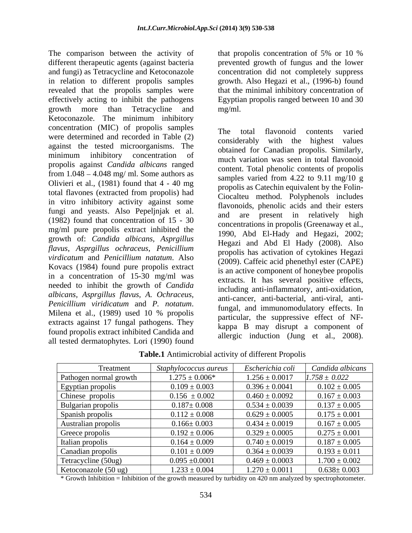The comparison between the activity of that propolis concentration of 5% or 10 % different therapeutic agents (against bacteria prevented growth of fungus and the lower and fungi) as Tetracycline and Ketoconazole concentration did not completely suppress in relation to different propolis samples growth. Also Hegazi et al., (1996-b) found revealed that the propolis samples were that the minimal inhibitory concentration of effectively acting to inhibit the pathogens Egyptian propolis ranged between 10 and 30 growth more than Tetracycline and Ketoconazole. The minimum inhibitory concentration (MIC) of propolis samples were determined and recorded in Table (2) and the light of the highest values against the tested microorganisms. The minimum inhibitory concentration of propolis against *Candida albicans* ranged from  $1.048 - 4.048$  mg/ ml. Some authors as Olivieri et al., (1981) found that 4 - 40 mg total flavones (extracted from propolis) had in vitro inhibitory activity against some fungi and yeasts. Also Pepeljnjak et al. (1982) found that concentration of 15 - 30 mg/ml pure propolis extract inhibited the growth of: *Candida albicans, Asprgillus flavus, Asprgillus ochraceus*, *Penicillium virdicatum* and *Penicillium natatum*. Also Kovacs (1984) found pure propolis extract in a concentration of 15-30 mg/ml was needed to inhibit the growth of *Candida albicans, Asprgillus flavus, A. Ochraceus,* extracts against 17 fungal pathogens.They found propolis extract inhibited Candida and all tested dermatophytes. Lori (1990) found

that propolis concentration of 5% or 10 % mg/ml.

*Penicillium viridicatum* and *P. notatum*.<br>Milena et al., (1989) used 10 % propolis particular the suppressive effect of NF The total flavonoid contents varied considerably with the highest obtained for Canadian propolis. Similarly, much variation was seen in total flavonoid content. Total phenolic contents of propolis samples varied from 4.22 to 9.11 mg/10 g propolis as Catechin equivalent by the Folin- Ciocalteu method. Polyphenols includes flavonoids, phenolic acids and their esters and are present in relatively high concentrations in propolis (Greenaway et al., 1990, Abd El-Hady and Hegazi, 2002; Hegazi and Abd El Hady (2008). Also propolis has activation of cytokines Hegazi (2009). Caffeic acid phenethyl ester (CAPE) is an active component of honeybee propolis extracts. It has several positive effects, including anti-inflammatory, anti-oxidation, anti-cancer, anti-bacterial, anti-viral, antifungal, and immunomodulatory effects. In particular, the suppressive effect of NF kappa B may disrupt a component of allergic induction (Jung et al., 2008).

| Treatment                      | Staphylococcus aureus | Escherichia coli   | Candida albicans  |
|--------------------------------|-----------------------|--------------------|-------------------|
| Pathogen normal growth         | $1.275 \pm 0.006*$    | $1.256 \pm 0.0017$ | $1.758 \pm 0.022$ |
| Egyptian propolis              | $0.109 \pm 0.003$     | $0.396 \pm 0.0041$ | $0.102 \pm 0.005$ |
| Chinese propolis               | $0.156 \pm 0.002$     | $0.460 \pm 0.0092$ | $0.167 \pm 0.003$ |
| Bulgarian propolis             | $0.187 \pm 0.008$     | $0.534 \pm 0.0039$ | $0.137 \pm 0.005$ |
| Spanish propolis               | $0.112 \pm 0.008$     | $0.629 \pm 0.0005$ | $0.175 \pm 0.001$ |
| Australian propolis            | $0.166 \pm 0.003$     | $0.434 \pm 0.0019$ | $0.167 \pm 0.005$ |
| Greece propolis                | $0.192 \pm 0.006$     | $0.329 \pm 0.0005$ | $0.275 \pm 0.001$ |
| Italian propolis               | $0.164 \pm 0.009$     | $0.740 \pm 0.0019$ | $0.187 \pm 0.005$ |
| Canadian propolis              | $0.101 \pm 0.009$     | $0.364 \pm 0.0039$ | $0.193 \pm 0.011$ |
| Tetracycline (50ug)            | $0.095 \pm 0.0001$    | $0.469 \pm 0.0003$ | $1.700 \pm 0.002$ |
| Ketoconazole $(50 \text{ ug})$ | $1.233 \pm 0.004$     | $1.270 \pm 0.0011$ | $0.638 \pm 0.003$ |

**Table.1** Antimicrobial activity of different Propolis

\* Growth Inhibition = Inhibition of the growth measured by turbidity on 420 nm analyzed by spectrophotometer.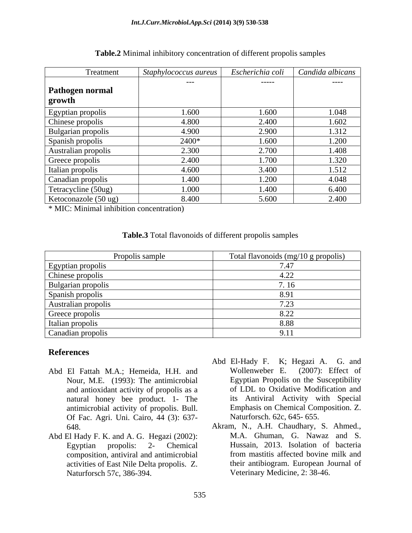| Treatment            | Staphylococcus aureus | Escherichia coli | Candida albicans |
|----------------------|-----------------------|------------------|------------------|
|                      | $---$                 | ------           | $---$            |
| Pathogen normal      |                       |                  |                  |
| <b>growth</b>        |                       |                  |                  |
| Egyptian propolis    | 1.600                 | 1.600            | 1.048            |
| Chinese propolis     | 4.800                 | 2.400            | 1.602            |
| Bulgarian propolis   | 4.900                 | 2.900            | 1.312            |
| Spanish propolis     | 2400*                 | 1.600            | 1.200            |
| Australian propolis  | 2.300                 | 2.700            | 1.408            |
| Greece propolis      | 2.400                 | 1.700            | 1.320            |
| Italian propolis     | 4.600                 | 3.400            | 1.512            |
| Canadian propolis    | 1.400                 | 1.200            | 4.048            |
| Tetracycline (50ug)  | 1.000                 | 1.400            | 6.400            |
| Ketoconazole (50 ug) | 8.400                 | 5.600            | 2.400            |

#### **Table.2** Minimal inhibitory concentration of different propolis samples

\* MIC: Minimal inhibition concentration)

#### **Table.3** Total flavonoids of different propolis samples

| Propolis sample                                                                 | Total flavonoids (mg/10 g propolis) |
|---------------------------------------------------------------------------------|-------------------------------------|
| Egyptian propolis<br>Chinese propolis<br>Bulgarian propolis<br>Spanish propolis |                                     |
|                                                                                 |                                     |
|                                                                                 |                                     |
|                                                                                 |                                     |
|                                                                                 | ״ ה                                 |
|                                                                                 |                                     |
| Australian propolis<br>Greece propolis<br>Italian propolis                      | 8.88                                |
| Canadian propolis                                                               |                                     |

### **References**

- Nour, M.E. (1993): The antimicrobial and antioxidant activity of propolis as a natural honey bee product. 1- The antimicrobial activity of propolis. Bull. Of Fac. Agri. Uni. Cairo, 44 (3): 637-
- Abd El Hady F. K. and A. G. Hegazi (2002): composition, antiviral and antimicrobial activities of East Nile Delta propolis. Z.
- Abd El Fattah M.A.: Hemeida, H.H. and Wollenweber E. (2007): Effect of Abd El-Hady F. K; Hegazi A. G. and Wollenweber E. (2007): Effect of Egyptian Propolis on the Susceptibility of LDL to Oxidative Modification and its Antiviral Activity with Special Emphasis on Chemical Composition. Z. Naturforsch. 62c, 645- 655.
	- 648. Akram, N., A.H. Chaudhary, S. Ahmed., Egyptian propolis: 2- Chemical Hussain, 2013. Isolation of bacteria Naturforsch 57c, 386-394. Veterinary Medicine, 2: 38-46.M.A. Ghuman, G. Nawaz and S. from mastitis affected bovine milk and their antibiogram. European Journal of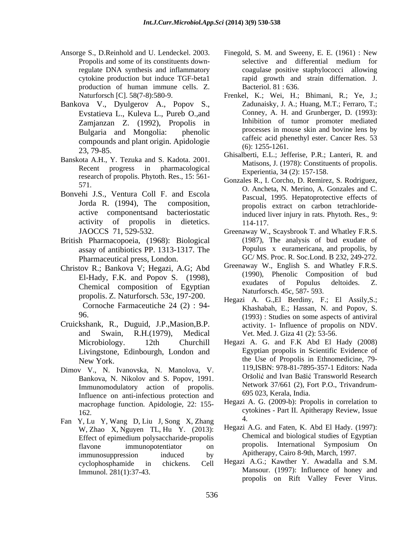- production of human immune cells. Z.
- Bankova V., Dyulgerov A., Popov S., Evstatieva L., Kuleva L., Pureb O.,and Zamjanzan Z. (1992), Propolis in Bulgaria and Mongolia: phenolic compounds and plant origin. Apidologie
- Banskota A.H., Y. Tezuka and S. Kadota. 2001. Recent progress in pharmacological research of propolis. Phytoth. Res., 15: 561-
- Bonvehi J.S., Ventura Coll F. and Escola
- British Pharmacopoeia, (1968): Biological assay of antibiotics PP. 1313-1317. The Pharmaceutical press, London.
- Christov R.; Bankova V; Hegazi, A.G; Abd Chemical composition of Egyptian propolis. Z. Naturforsch. 53c, 197-200. Cornoche Farmaceutiche 24 (2) : 94-
- Cruickshank, R., Duguid, J.P.,Masion,B.P. and Swain, R.H.(1979), Medical Vet. Med. J. Giza 41 (2): 53-56.<br>Microbiology. 12th Churchill Hegazi A. G. and F.K Abd El Hady (2008) Livingstone, Edinbourgh, London and
- Dimov V., N. Ivanovska, N. Manolova, V. Bankova, N. Nikolov and S. Popov, 1991. Immunomodulatory action of propolis. Influence on anti-infectious protection and macrophage function. Apidologie, 22: 155-
- Fan Y, Lu Y, Wang D, Liu J, Song X, Zhang W, Zhao X, Nguyen TL, Hu Y. (2013): immunosuppression induced by Apitherapy, Cairo 8-9th, March, 1997.
- Ansorge S., D.Reinhold and U. Lendeckel. 2003. Finegold, S. M. and Sweeny, E. E. (1961) : New Propolis and some of its constituents down-<br>selective and differential medium for regulate DNA synthesis and inflammatory coagulase positive staphylococci allowing cytokine production but induce TGF-beta1 rapid growth and strain differnation. J. selective and differential medium for Bacteriol. 81 : 636.
	- Naturforsch [C]. 58(7-8):580-9. Frenkel, K.; Wei, H.; Bhimani, R.; Ye, J.; Zadunaisky, J. A.; Huang, M.T.; Ferraro, T.; Conney, A. H. and Grunberger, D. (1993): Inhibition of tumor promoter mediated processes in mouse skin and bovine lens by caffeic acid phenethyl ester. Cancer Res. 53 (6): 1255-1261.
	- 23, 79-85.<br>
	Ghisalberti, E.L.; Jefferise, P.R.; Lanteri, R. and S. Kadata, 2001 Ghisalberti, E.L.; Jefferise, P.R.; Lanteri, R. and Matisons, J. (1978): Constituents of propolis. Experientia, 34 (2): 157-158.
	- 571. O. Ancheta, N. Merino, A. Gonzales and C. Jorda R. (1994), The composition, propolis extract on carbon tetrachlorideactive componentsand bacteriostatic induced liver injury in rats. Phytoth. Res., 9: activity of propolis in dietetics. 114-117. Gonzales R., I. Corcho, D. Remirez, S. Rodriguez, Pascual, 1995. Hepatoprotective effects of 114-117.
	- JAOCCS 71, 529-532. Greenaway W., Scaysbrook T. and Whatley F.R.S. (1987), The analysis of bud exudate of Populus x euramericana, and propolis, by GC/ MS. Proc. R. Soc.Lond. B 232, 249-272.
	- El-Hady, F.K. and Popov S. (1998), Thenoile Composition of bud exudates of Populus deltoides. Z. Greenaway W., English S. and Whatley F.R.S. (1990), Phenolic Composition of bud exudates of Populus deltoides. Z. Naturforsch. 45c, 587- 593.
	- 96. (1993) : Studies on some aspects of antiviral Hegazi A. G.,El Berdiny, F.; El Assily,S.; Khashabah, E.; Hassan, N. and Popov, S. activity. 1- Influence of propolis on NDV. Vet. Med. J. Giza 41 (2): 53-56.
	- New York. the Use of Propolis in Ethnomedicine, 79- Hegazi A. G. and F.K Abd El Hady (2008) Egyptian propolis in Scientific Evidence of 119,ISBN: 978-81-7895-357-1 Editors: Nada Oršolić and Ivan Bašić Transworld Research Network 37/661 (2), Fort P.O., Trivandrum- 695 023, Kerala, India.
	- 162. cytokines Part II. Apitherapy Review, Issue Hegazi A. G. (2009-b): Propolis in correlation to 4.
	- Effect of epimedium polysaccharide-propolis<br>
	Flavone immunopotentiator on propolis. International Symposium On flavone immunopotentiator on propolis. International Symposium On Hegazi A.G. and Faten, K. Abd El Hady. (1997): Chemical and biological studies of Egyptian propolis. International Symposium On Apitherapy, Cairo 8-9th, March, 1997.
	- cyclophosphamide in chickens. Cell Hegazi A.G.; Kawther Y. Awadalla and S.M. Immunol. 281(1):37-43. Mansour. (1997): Influence of honey and propolis on Rift Valley Fever Virus.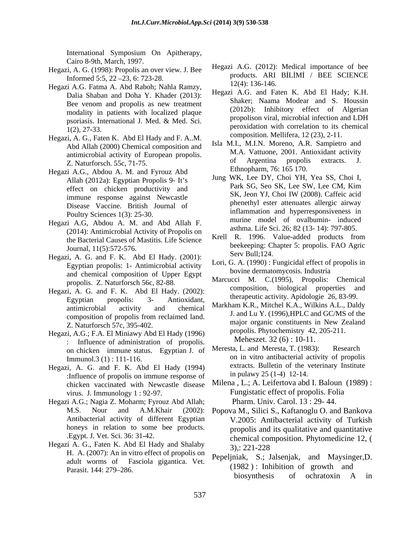International Symposium On Apitherapy, Cairo 8-9th, March, 1997.

- Informed 5:5, 22 23, 6: 723-28.
- Hegazi A.G. Fatma A. Abd Raboh; Nahla Ramzy, Dalia Shaban and Doha Y. Khader (2013): Bee venom and propolis as new treatment modality in patients with localized plaque
- Hegazi, A. G., Faten K. Abd El Hady and F. A..M. Abd Allah (2000) Chemical composition and Z. Naturforsch. 55c, 71-75.
- Hegazi A.G., Abdou A. M. and Fyrouz Abd immune response against Newcastle Disease Vaccine. British Journal of Poultry Sciences 1(3): 25-30.
- Hegazi A.G, Abdou A. M. and Abd Allah F. (2014): Antimicrobial Activity of Propolis on the Bacterial Causes of Mastitis. Life Science
- Hegazi, A. G. and F. K. Abd El Hady. (2001): Serv Bull;124. Egyptian propolis: 1- Antimicrobial activity and chemical composition of Upper Egypt propolis. Z. Naturforsch 56c, 82-88.
- Hegazi, A. G. and F. K. Abd El Hady. (2002): Egyptian propolis: 3- Antioxidant, unerapeutic activity. Applologue 20, 83-99. composition of propolis from reclaimed land. Z. Naturforsch 57c, 395-402.
- Hegazi, A.G.; F.A. El Miniawy Abd El Hady (1996) : Influence of administration of propolis. Meheszet.  $32(6)$ : 10-11.<br>
on chicken, immune status, Equation L of Meresta, L, and Meresta, T. (1983): Research on chicken immune status. Egyptian J. of
- Hegazi, A. G. and F. K. Abd El Hady (1994) :Influence of propolis on immune response of chicken vaccinated with Newcastle disease
- Hegazi A.G.; Nagia Z. Moharm; Fyrouz Abd Allah; honeys in relation to some bee products.
- Hegazi A. G., Faten K. Abd El Hady and Shalaby 3).: 221-228 H. A. (2007): An in vitro effect of propolis on adult worms of Fasciola gigantica. Vet.
- Hegazi, A. G. (1998): Propolis an over view. J. Bee Hegazi A.G. (2012): Medical importance of bee<br>products. ARI BİLİMİ / BEE SCIENCE Hegazi A.G. (2012): Medical importance of bee products. ARI BILIMI / BEE SCIENCE 12(4): 136-146.
	- psoriasis. International J. Med. & Med. Sci. 1(2), 27-33. peroxidation with correlation to its chemical Hegazi A.G. and Faten K. Abd El Hady; K.H. Shaker; Naama Modear and S. Houssin (2012b): Inhibitory effect of Algerian propolison viral, microbial infection and LDH composition. Mellifera, 12 (23), 2-11.
	- antimicrobial activity of European propolis.<br>
	The M.A. Vattuone, 2001. Antioxidant activity<br>
	The Meturforsch 550 71.75 of Argentina propolis extracts. Isla M.I., M.I.N. Moreno, A.R. Sampietro and M.A. Vattuone, 2001. Antioxidant activity of Argentina propolis extracts. J. Ethnopharm, 76: 165 170.
	- Allah (2012a): Egyptian Propolis 9- It's<br>
	Park SG, Seo SK, Lee SW, Lee CM, Kim effect on chicken productivity and<br>immune regnonse equipst Neurogette SK, Jeon YJ, Choi IW (2008). Caffeic acid Jung WK, Lee DY, Choi YH, Yea SS, Choi I, Park SG, Seo SK, Lee SW, Lee CM, Kim SK, Jeon YJ, Choi IW (2008). Caffeic acid phenethyl ester attenuates allergic airway inflammation and hyperresponsiveness in murine model of ovalbumin- induced asthma. Life Sci. 26; 82 (13- 14): 797-805.
	- Journal, 11(5):572-576. beekeeping: Chapter 5: propolis. FAO Agric Krell R. 1996. Value-added products from Serv Bull; 124.
		- Lori, G. A. (1990) : Fungicidal effect of propolis in bovine dermatomycosis. Industria
		- Marcucci M. C.(1995), Propolis: Chemical composition, biological properties and therapeutic activity. Apidologie 26, 83-99.
	- antimicrobial activity and chemical  $Markn$ antimicrobial activity and chemical  $Markn$ Markham K.R., Mitchel K.A., Wilkins A.L., Daldy J. and Lu Y. (1996),HPLC and GC/MS of the major organic constituents in New Zealand propolis. Phytochemistry 42, 205-211. Meheszet. 32 (6) : 10-11.
	- Immunol.3 (1) : 111-116. Example 1 on in vitro antibacterial activity of propolis Meresta, L. and Meresta, T. (1983): extracts. Bulletin of the veterinary Institute in pulawy 25 (1-4) 12-14.
	- virus. J. Immunology 1 : 92-97. Fungistatic effect of propolis. Folia Milena , L.; A. Leifertova abd I. Baloun (1989) : Pharm. Univ. Carol. 13 : 29- 44.
	- M.S. Nour and A.M.Khair (2002): Popova M., Silici S., Kaftanoglu O. and Bankova Antibacterial activity of different Egyptian V.2005: Antibacterial activity of Turkish .Egypt. J. Vet. Sci. 36: 31-42. chemical composition. Phytomedicine 12, ( propolis and its qualitative and quantitative 3),: 221-228
	- Parasit. 144: 279 286. Pepeljniak, S.; Jalsenjak, and Maysinger,D. (1982 ) : Inhibition of growth and biosynthesis of ochratoxin A in